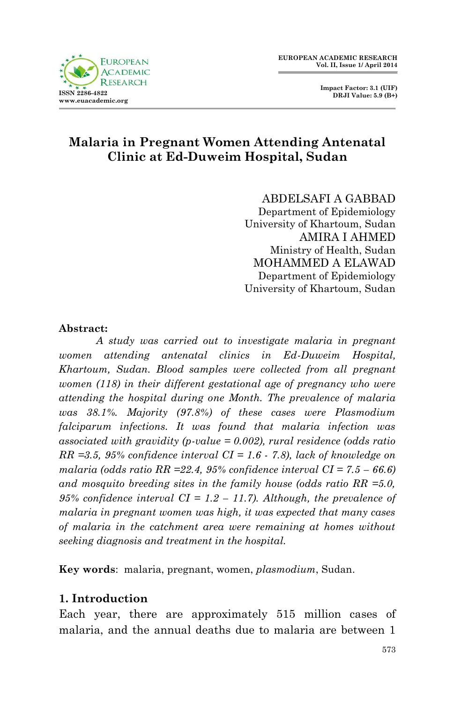

 **Impact Factor: 3.1 (UIF) DRJI Value: 5.9 (B+)**

# **Malaria in Pregnant Women Attending Antenatal Clinic at Ed-Duweim Hospital, Sudan**

ABDELSAFI A GABBAD Department of Epidemiology University of Khartoum, Sudan AMIRA I AHMED Ministry of Health, Sudan MOHAMMED A ELAWAD Department of Epidemiology University of Khartoum, Sudan

#### **Abstract:**

*A study was carried out to investigate malaria in pregnant women attending antenatal clinics in Ed-Duweim Hospital, Khartoum, Sudan. Blood samples were collected from all pregnant women (118) in their different gestational age of pregnancy who were attending the hospital during one Month. The prevalence of malaria was 38.1%. Majority (97.8%) of these cases were Plasmodium falciparum infections. It was found that malaria infection was associated with gravidity (p-value = 0.002), rural residence (odds ratio RR =3.5, 95% confidence interval CI = 1.6 - 7.8), lack of knowledge on malaria (odds ratio RR = 22.4, 95% confidence interval CI =*  $7.5 - 66.6$ *) and mosquito breeding sites in the family house (odds ratio RR =5.0, 95% confidence interval CI = 1.2 – 11.7). Although, the prevalence of malaria in pregnant women was high, it was expected that many cases of malaria in the catchment area were remaining at homes without seeking diagnosis and treatment in the hospital.* 

**Key words**: malaria, pregnant, women, *plasmodium*, Sudan.

#### **1. Introduction**

Each year, there are approximately 515 million cases of malaria, and the annual deaths due to malaria are between 1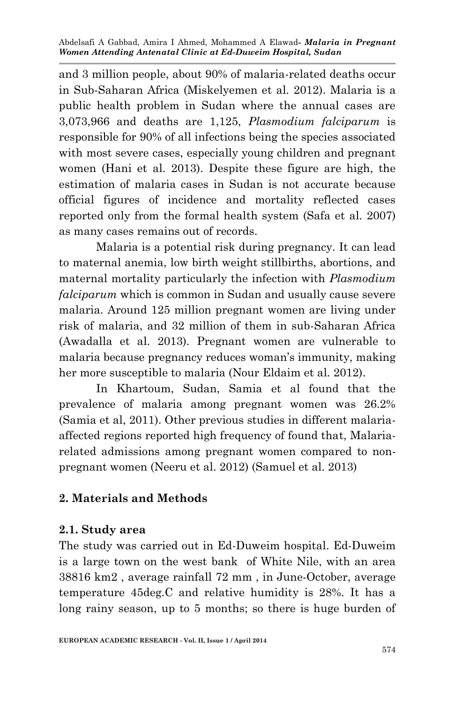Abdelsafi A Gabbad, Amira I Ahmed, Mohammed A Elawad*- Malaria in Pregnant Women Attending Antenatal Clinic at Ed-Duweim Hospital, Sudan*

and 3 million people, about 90% of malaria-related deaths occur in Sub-Saharan Africa (Miskelyemen et al. 2012). Malaria is a public health problem in Sudan where the annual cases are 3,073,966 and deaths are 1,125, *Plasmodium falciparum* is responsible for 90% of all infections being the species associated with most severe cases, especially young children and pregnant women (Hani et al. 2013). Despite these figure are high, the estimation of malaria cases in Sudan is not accurate because official figures of incidence and mortality reflected cases reported only from the formal health system (Safa et al. 2007) as many cases remains out of records.

Malaria is a potential risk during pregnancy. It can lead to maternal anemia, low birth weight stillbirths, abortions, and maternal mortality particularly the infection with *Plasmodium falciparum* which is common in Sudan and usually cause severe malaria. Around 125 million pregnant women are living under risk of malaria, and 32 million of them in sub-Saharan Africa (Awadalla et al. 2013). Pregnant women are vulnerable to malaria because pregnancy reduces woman's immunity, making her more susceptible to malaria (Nour Eldaim et al. 2012).

In Khartoum, Sudan, Samia et al found that the prevalence of malaria among pregnant women was 26.2% (Samia et al, 2011). Other previous studies in different malariaaffected regions reported high frequency of found that, Malariarelated admissions among pregnant women compared to nonpregnant women (Neeru et al. 2012) (Samuel et al. 2013)

## **2. Materials and Methods**

## **2.1. Study area**

The study was carried out in Ed-Duweim hospital. Ed-Duweim is a large town on the west bank of White Nile, with an area 38816 km2 , average rainfall 72 mm , in June-October, average temperature 45deg.C and relative humidity is 28%. It has a long rainy season, up to 5 months; so there is huge burden of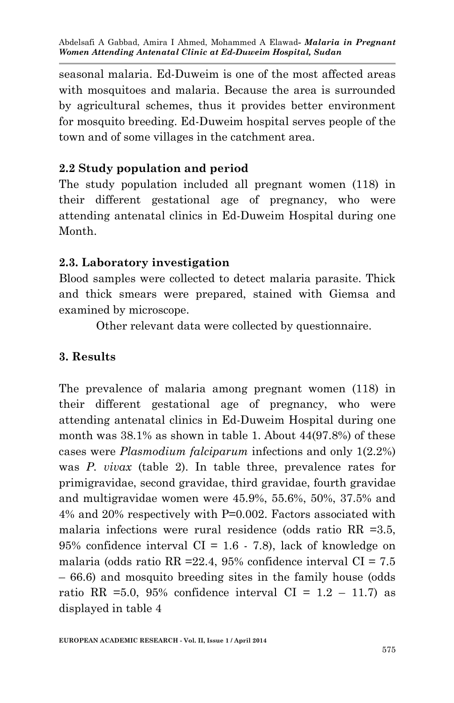seasonal malaria. Ed-Duweim is one of the most affected areas with mosquitoes and malaria. Because the area is surrounded by agricultural schemes, thus it provides better environment for mosquito breeding. Ed-Duweim hospital serves people of the town and of some villages in the catchment area.

# **2.2 Study population and period**

The study population included all pregnant women (118) in their different gestational age of pregnancy, who were attending antenatal clinics in Ed-Duweim Hospital during one Month.

## **2.3. Laboratory investigation**

Blood samples were collected to detect malaria parasite. Thick and thick smears were prepared, stained with Giemsa and examined by microscope.

Other relevant data were collected by questionnaire.

## **3. Results**

The prevalence of malaria among pregnant women (118) in their different gestational age of pregnancy, who were attending antenatal clinics in Ed-Duweim Hospital during one month was 38.1% as shown in table 1. About 44(97.8%) of these cases were *Plasmodium falciparum* infections and only 1(2.2%) was *P. vivax* (table 2). In table three, prevalence rates for primigravidae, second gravidae, third gravidae, fourth gravidae and multigravidae women were 45.9%, 55.6%, 50%, 37.5% and 4% and 20% respectively with P=0.002. Factors associated with malaria infections were rural residence (odds ratio RR =3.5, 95% confidence interval  $CI = 1.6 - 7.8$ , lack of knowledge on malaria (odds ratio RR = 22.4, 95% confidence interval  $CI = 7.5$ – 66.6) and mosquito breeding sites in the family house (odds ratio RR =5.0, 95% confidence interval  $CI = 1.2 - 11.7$  as displayed in table 4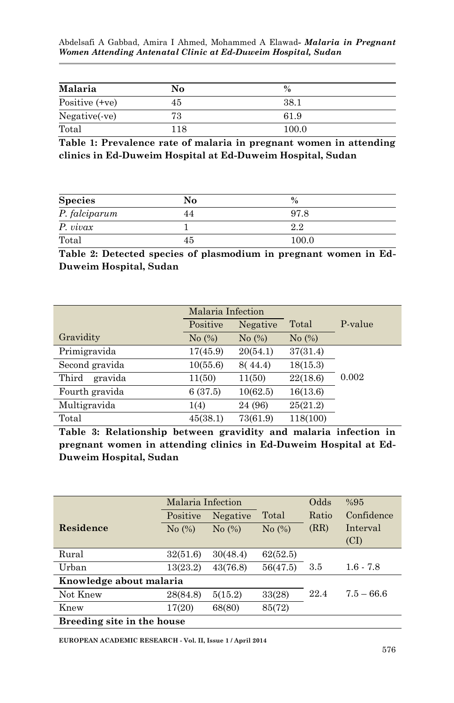Abdelsafi A Gabbad, Amira I Ahmed, Mohammed A Elawad*- Malaria in Pregnant Women Attending Antenatal Clinic at Ed-Duweim Hospital, Sudan*

| Malaria          | No  | $\%$  |
|------------------|-----|-------|
| Positive $(+ve)$ | 45  | 38.1  |
| Negative(-ve)    | 73  | 61.9  |
| Total            | 118 | 100.0 |

**Table 1: Prevalence rate of malaria in pregnant women in attending clinics in Ed-Duweim Hospital at Ed-Duweim Hospital, Sudan**

| <b>Species</b> | No  | $\%$  |  |
|----------------|-----|-------|--|
| P. falciparum  |     | 97.8  |  |
| P. vivax       |     | 2.2   |  |
| Total          | 45. | 100.0 |  |

**Table 2: Detected species of plasmodium in pregnant women in Ed-Duweim Hospital, Sudan**

|                  | Malaria Infection |                      |           |         |
|------------------|-------------------|----------------------|-----------|---------|
|                  | Positive          | Negative             | Total     | P-value |
| Gravidity        | No $(\%)$         | No $\left(\%\right)$ | No $(\%)$ |         |
| Primigravida     | 17(45.9)          | 20(54.1)             | 37(31.4)  |         |
| Second gravida   | 10(55.6)          | 8(44.4)              | 18(15.3)  |         |
| Third<br>gravida | 11(50)            | 11(50)               | 22(18.6)  | 0.002   |
| Fourth gravida   | 6(37.5)           | 10(62.5)             | 16(13.6)  |         |
| Multigravida     | 1(4)              | 24 (96)              | 25(21.2)  |         |
| Total            | 45(38.1)          | 73(61.9)             | 118(100)  |         |

**Table 3: Relationship between gravidity and malaria infection in pregnant women in attending clinics in Ed-Duweim Hospital at Ed-Duweim Hospital, Sudan**

|                            | Malaria Infection |                               |           | Odds  | %95          |
|----------------------------|-------------------|-------------------------------|-----------|-------|--------------|
|                            | Positive          | Negative                      | Total     | Ratio | Confidence   |
| Residence                  | No (%)            | No $\left(\frac{9}{6}\right)$ | No $(\%)$ | (RR)  | Interval     |
|                            |                   |                               |           |       | (CI)         |
| Rural                      | 32(51.6)          | 30(48.4)                      | 62(52.5)  |       |              |
| Urban                      | 13(23.2)          | 43(76.8)                      | 56(47.5)  | 3.5   | $1.6 - 7.8$  |
| Knowledge about malaria    |                   |                               |           |       |              |
| Not Knew                   | 28(84.8)          | 5(15.2)                       | 33(28)    | 22.4  | $7.5 - 66.6$ |
| Knew                       | 17(20)            | 68(80)                        | 85(72)    |       |              |
| Breeding site in the house |                   |                               |           |       |              |

**EUROPEAN ACADEMIC RESEARCH - Vol. II, Issue 1 / April 2014**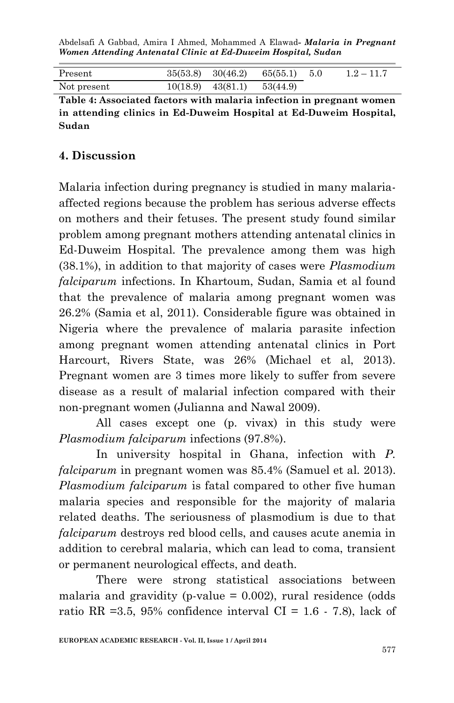Abdelsafi A Gabbad, Amira I Ahmed, Mohammed A Elawad*- Malaria in Pregnant Women Attending Antenatal Clinic at Ed-Duweim Hospital, Sudan*

| Present     | $35(53.8)$ $30(46.2)$ $65(55.1)$ 5.0 |  | $1.2 - 11.7$ |
|-------------|--------------------------------------|--|--------------|
| Not present | $10(18.9)$ $43(81.1)$ $53(44.9)$     |  |              |

**Table 4: Associated factors with malaria infection in pregnant women in attending clinics in Ed-Duweim Hospital at Ed-Duweim Hospital, Sudan**

## **4. Discussion**

Malaria infection during pregnancy is studied in many malariaaffected regions because the problem has serious adverse effects on mothers and their fetuses. The present study found similar problem among pregnant mothers attending antenatal clinics in Ed-Duweim Hospital. The prevalence among them was high (38.1%), in addition to that majority of cases were *Plasmodium falciparum* infections. In Khartoum, Sudan, Samia et al found that the prevalence of malaria among pregnant women was 26.2% (Samia et al, 2011). Considerable figure was obtained in Nigeria where the prevalence of malaria parasite infection among pregnant women attending antenatal clinics in Port Harcourt, Rivers State, was 26% (Michael et al, 2013). Pregnant women are 3 times more likely to suffer from severe disease as a result of malarial infection compared with their non-pregnant women (Julianna and Nawal 2009).

All cases except one (p. vivax) in this study were *Plasmodium falciparum* infections (97.8%).

In university hospital in Ghana, infection with *P. falciparum* in pregnant women was 85.4% (Samuel et al. 2013). *Plasmodium falciparum* is fatal compared to other five human malaria species and responsible for the majority of malaria related deaths. The seriousness of plasmodium is due to that *falciparum* destroys red blood cells, and causes acute anemia in addition to cerebral malaria, which can lead to coma, transient or permanent neurological effects, and death.

There were strong statistical associations between malaria and gravidity (p-value  $= 0.002$ ), rural residence (odds ratio RR =3.5, 95% confidence interval CI =  $1.6 \div 7.8$ ), lack of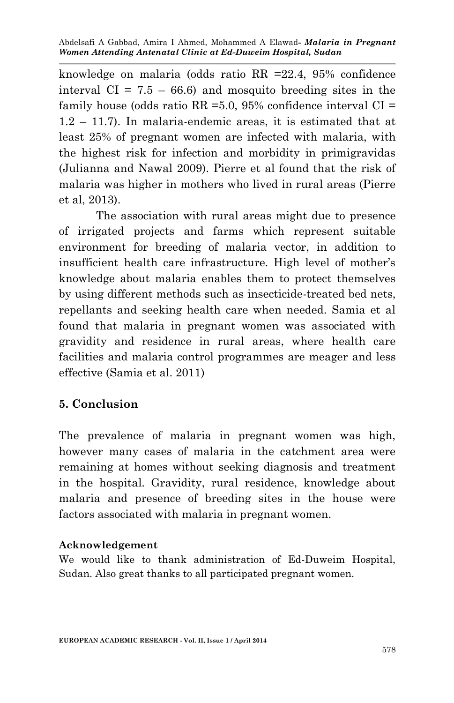knowledge on malaria (odds ratio RR =22.4, 95% confidence interval  $CI = 7.5 - 66.6$  and mosquito breeding sites in the family house (odds ratio  $RR = 5.0$ , 95% confidence interval  $CI =$ 1.2 – 11.7). In malaria-endemic areas, it is estimated that at least 25% of pregnant women are infected with malaria, with the highest risk for infection and morbidity in primigravidas (Julianna and Nawal 2009). Pierre et al found that the risk of malaria was higher in mothers who lived in rural areas (Pierre et al, 2013).

The association with rural areas might due to presence of irrigated projects and farms which represent suitable environment for breeding of malaria vector, in addition to insufficient health care infrastructure. High level of mother's knowledge about malaria enables them to protect themselves by using different methods such as insecticide-treated bed nets, repellants and seeking health care when needed. Samia et al found that malaria in pregnant women was associated with gravidity and residence in rural areas, where health care facilities and malaria control programmes are meager and less effective (Samia et al. 2011)

## **5. Conclusion**

The prevalence of malaria in pregnant women was high, however many cases of malaria in the catchment area were remaining at homes without seeking diagnosis and treatment in the hospital. Gravidity, rural residence, knowledge about malaria and presence of breeding sites in the house were factors associated with malaria in pregnant women.

#### **Acknowledgement**

We would like to thank administration of Ed-Duweim Hospital, Sudan. Also great thanks to all participated pregnant women.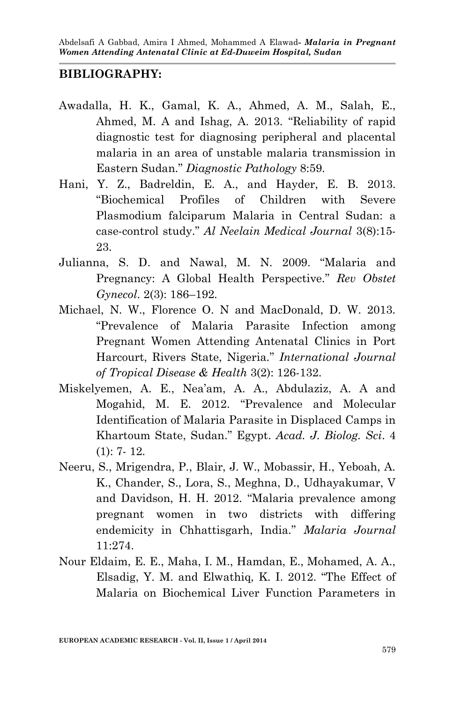#### **BIBLIOGRAPHY:**

- Awadalla, H. K., Gamal, K. A., Ahmed, A. M., Salah, E., Ahmed, M. A and Ishag, A. 2013. "Reliability of rapid diagnostic test for diagnosing peripheral and placental malaria in an area of unstable malaria transmission in Eastern Sudan." *Diagnostic Pathology* 8:59.
- Hani, Y. Z., Badreldin, E. A., and Hayder, E. B. 2013. "Biochemical Profiles of Children with Severe Plasmodium falciparum Malaria in Central Sudan: a case-control study." *Al Neelain Medical Journal* 3(8):15- 23.
- Julianna, S. D. and Nawal, M. N. 2009. "Malaria and Pregnancy: A Global Health Perspective." *Rev Obstet Gynecol*. 2(3): 186–192.
- Michael, N. W., Florence O. N and MacDonald, D. W. 2013. "Prevalence of Malaria Parasite Infection among Pregnant Women Attending Antenatal Clinics in Port Harcourt, Rivers State, Nigeria." *International Journal of Tropical Disease & Health* 3(2): 126-132.
- Miskelyemen, A. E., Nea'am, A. A., Abdulaziz, A. A and Mogahid, M. E. 2012. "Prevalence and Molecular Identification of Malaria Parasite in Displaced Camps in Khartoum State, Sudan." Egypt. *Acad. J. Biolog. Sci*. 4 (1): 7- 12.
- Neeru, S., Mrigendra, P., Blair, J. W., Mobassir, H., Yeboah, A. K., Chander, S., Lora, S., Meghna, D., Udhayakumar, V and Davidson, H. H. 2012. "Malaria prevalence among pregnant women in two districts with differing endemicity in Chhattisgarh, India." *Malaria Journal* 11:274.
- Nour Eldaim, E. E., Maha, I. M., Hamdan, E., Mohamed, A. A., Elsadig, Y. M. and Elwathiq, K. I. 2012. "The Effect of Malaria on Biochemical Liver Function Parameters in